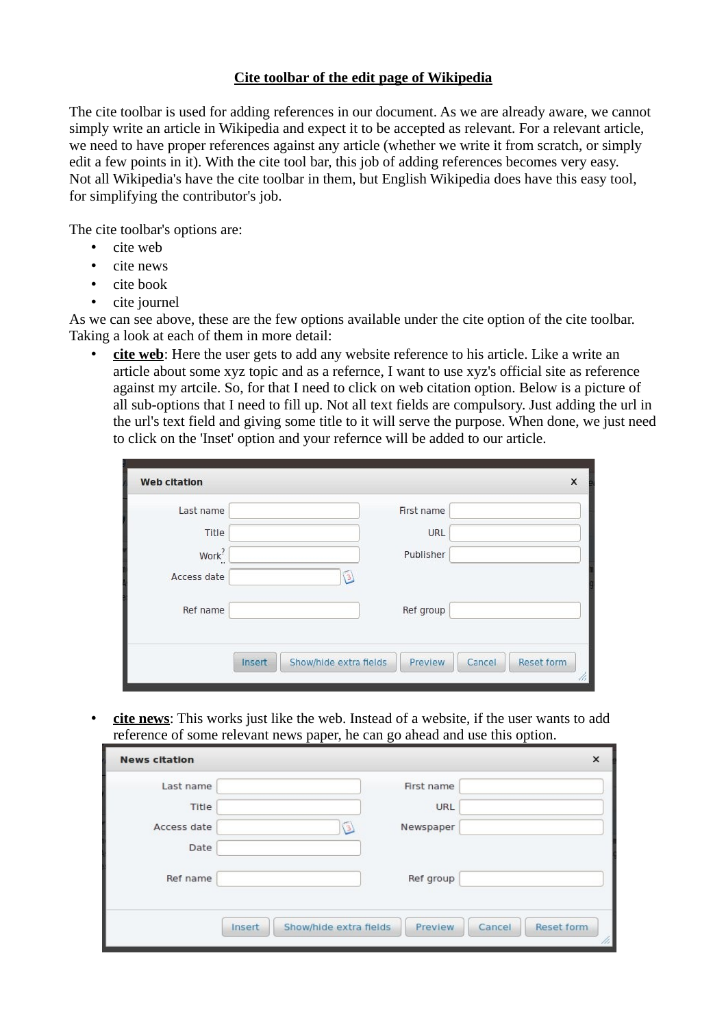## **Cite toolbar of the edit page of Wikipedia**

The cite toolbar is used for adding references in our document. As we are already aware, we cannot simply write an article in Wikipedia and expect it to be accepted as relevant. For a relevant article, we need to have proper references against any article (whether we write it from scratch, or simply edit a few points in it). With the cite tool bar, this job of adding references becomes very easy. Not all Wikipedia's have the cite toolbar in them, but English Wikipedia does have this easy tool, for simplifying the contributor's job.

The cite toolbar's options are:

- cite web
- cite news
- cite book
- cite journel

As we can see above, these are the few options available under the cite option of the cite toolbar. Taking a look at each of them in more detail:

• **cite web**: Here the user gets to add any website reference to his article. Like a write an article about some xyz topic and as a refernce, I want to use xyz's official site as reference against my artcile. So, for that I need to click on web citation option. Below is a picture of all sub-options that I need to fill up. Not all text fields are compulsory. Just adding the url in the url's text field and giving some title to it will serve the purpose. When done, we just need to click on the 'Inset' option and your refernce will be added to our article.

| Last name         | First name  |
|-------------------|-------------|
| Title             | <b>URL</b>  |
| Work <sup>?</sup> | Publisher   |
| Access date       | $3\sqrt{2}$ |
| Ref name          | Ref group   |
|                   |             |

• **cite news**: This works just like the web. Instead of a website, if the user wants to add reference of some relevant news paper, he can go ahead and use this option.

| <b>News citation</b> |                        |                   | $\times$          |
|----------------------|------------------------|-------------------|-------------------|
| Last name            |                        | First name        |                   |
| Title                |                        | <b>URL</b>        |                   |
| Access date          | СB)                    | Newspaper         |                   |
| Date                 |                        |                   |                   |
| Ref name             |                        | Ref group         |                   |
| Insert               | Show/hide extra fields | Preview<br>Cancel | <b>Reset form</b> |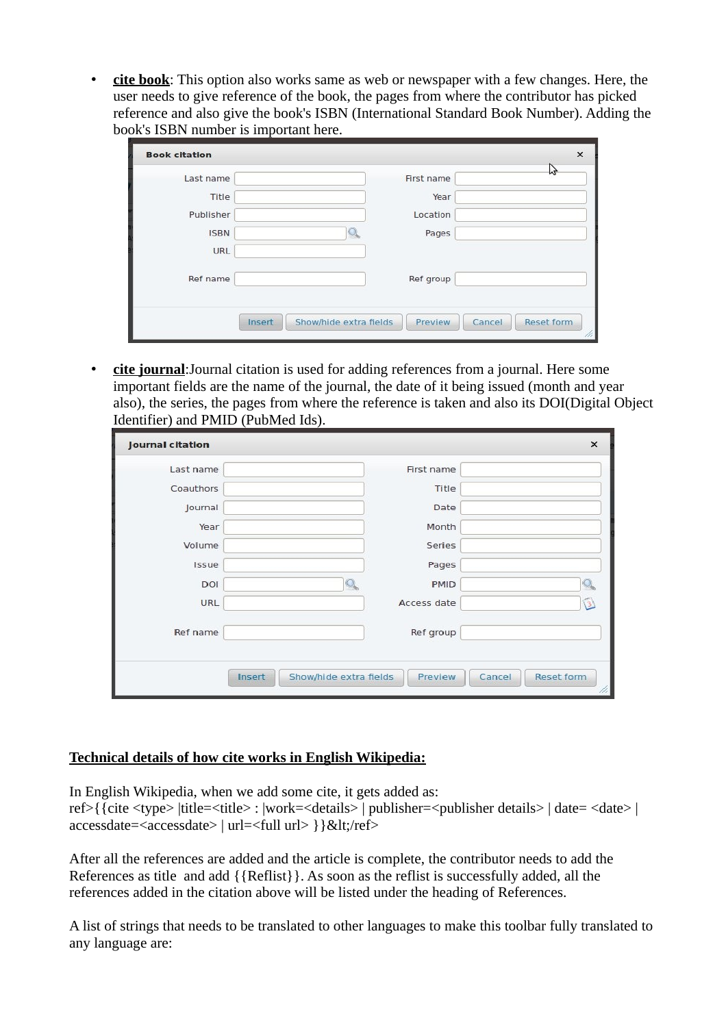• **cite book**: This option also works same as web or newspaper with a few changes. Here, the user needs to give reference of the book, the pages from where the contributor has picked reference and also give the book's ISBN (International Standard Book Number). Adding the book's ISBN number is important here.

| Last name   | First name |  |
|-------------|------------|--|
| Title       | Year       |  |
| Publisher   | Location   |  |
| <b>ISBN</b> | Pages      |  |
| URL         |            |  |
| Ref name    | Ref group  |  |
|             |            |  |

• **cite journal**:Journal citation is used for adding references from a journal. Here some important fields are the name of the journal, the date of it being issued (month and year also), the series, the pages from where the reference is taken and also its DOI(Digital Object Identifier) and PMID (PubMed Ids).

| <b>Journal citation</b> |                                  |             | $\times$                    |
|-------------------------|----------------------------------|-------------|-----------------------------|
| Last name               |                                  | First name  |                             |
| Coauthors               |                                  | Title       |                             |
| Journal                 |                                  | Date        |                             |
| Year                    |                                  | Month       |                             |
| Volume                  |                                  | Series      |                             |
| Issue                   |                                  | Pages       |                             |
| DOI                     |                                  | <b>PMID</b> | Q                           |
| <b>URL</b>              |                                  | Access date | $\circled{3}$               |
| Ref name                |                                  | Ref group   |                             |
|                         | Show/hide extra fields<br>Insert | Preview     | <b>Reset form</b><br>Cancel |

## **Technical details of how cite works in English Wikipedia:**

In English Wikipedia, when we add some cite, it gets added as:

ref>{{cite <type> |title=<title> : |work=<details> | publisher=<publisher details> | date= <date> | accessdate=<accessdate> | url=<full url> } } & lt;/ref>

After all the references are added and the article is complete, the contributor needs to add the References as title and add {{Reflist}}. As soon as the reflist is successfully added, all the references added in the citation above will be listed under the heading of References.

A list of strings that needs to be translated to other languages to make this toolbar fully translated to any language are: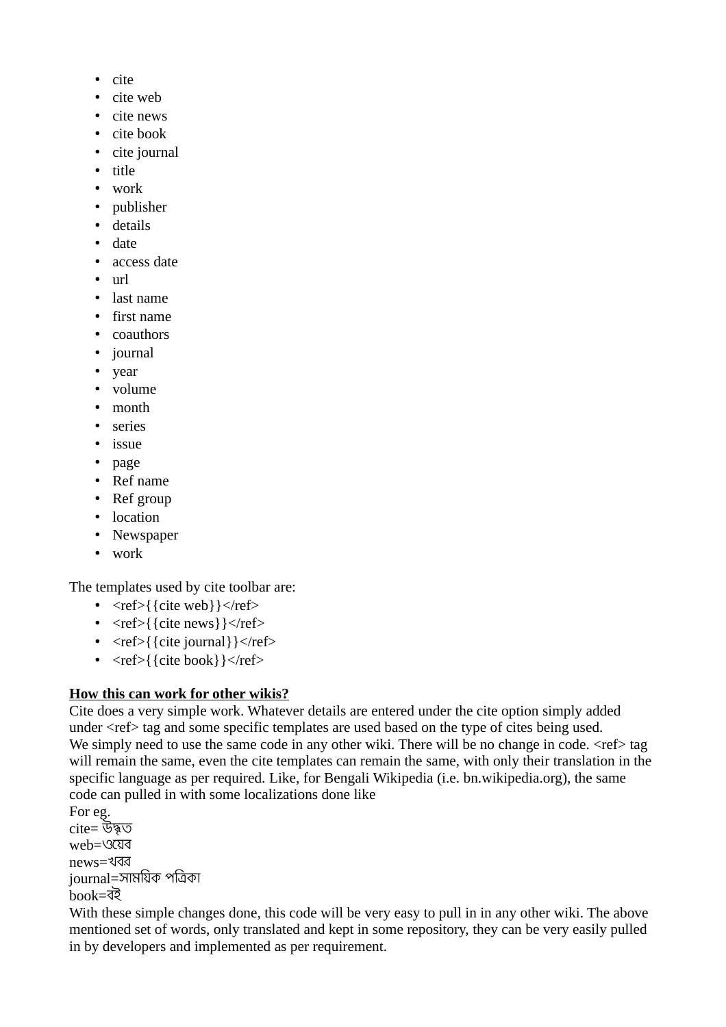- cite
- cite web
- cite news
- cite book
- cite journal
- title
- work
- publisher
- details
- date
- access date
- url
- last name
- first name
- coauthors
- journal
- year
- volume
- month
- series
- issue
- page
- Ref name
- Ref group
- location
- Newspaper
- work

The templates used by cite toolbar are:

- $\leq$ ref>{{cite web}} $\leq$ ref>
- $\langle \text{ref} \rangle$ {{cite news}} $\langle \text{ref} \rangle$
- $\langle \text{ref} \rangle$ { {cite journal} }  $\langle \text{ref} \rangle$
- $\langle ref \rangle$ { cite book } }  $\langle ref \rangle$

## **How this can work for other wikis?**

Cite does a very simple work. Whatever details are entered under the cite option simply added under <ref> tag and some specific templates are used based on the type of cites being used. We simply need to use the same code in any other wiki. There will be no change in code.  $\leq$ ref $>$ tag will remain the same, even the cite templates can remain the same, with only their translation in the specific language as per required. Like, for Bengali Wikipedia (i.e. bn.wikipedia.org), the same code can pulled in with some localizations done like

For eg. cite= উদ্ধত web=ওেযব news=খবর journal=সামিযক পিতকা book=বই

With these simple changes done, this code will be very easy to pull in in any other wiki. The above mentioned set of words, only translated and kept in some repository, they can be very easily pulled in by developers and implemented as per requirement.